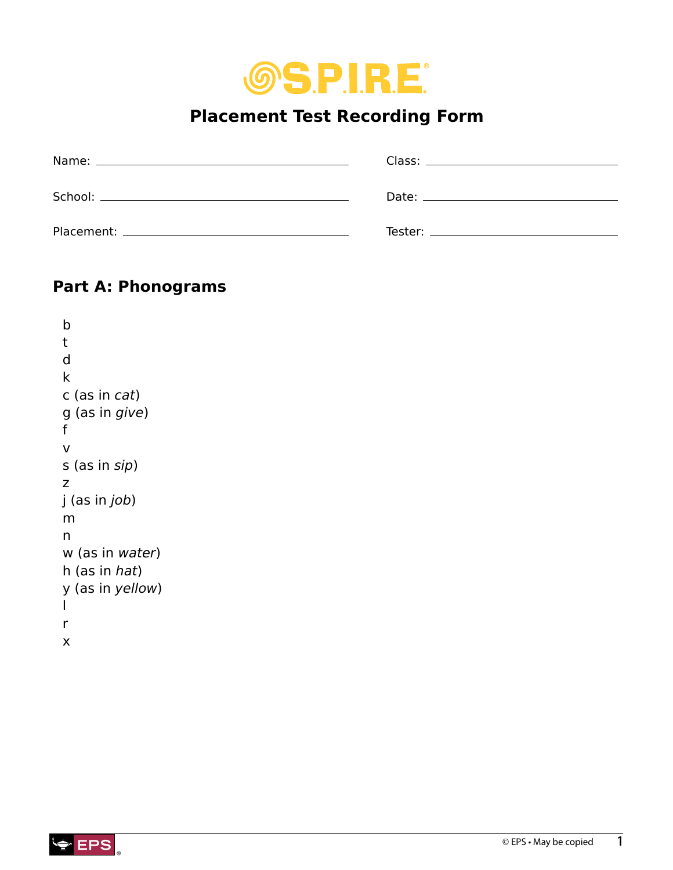

# **Placement Test Recording Form**

| Date: the contract of the contract of the contract of the contract of the contract of the contract of the contract of the contract of the contract of the contract of the contract of the contract of the contract of the cont |
|--------------------------------------------------------------------------------------------------------------------------------------------------------------------------------------------------------------------------------|
| Tester: Tester in the contract of the contract of the contract of the contract of the contract of the contract of the contract of the contract of the contract of the contract of the contract of the contract of the contract |

# **Part A: Phonograms**

```
b 
t 
d 
k 
c (as in cat)
g (as in give)
f 
v 
s (as in sip)
z
j (as in job)
m
n
w (as in water)
h (as in hat)
y (as in yellow)
l
r
x
```
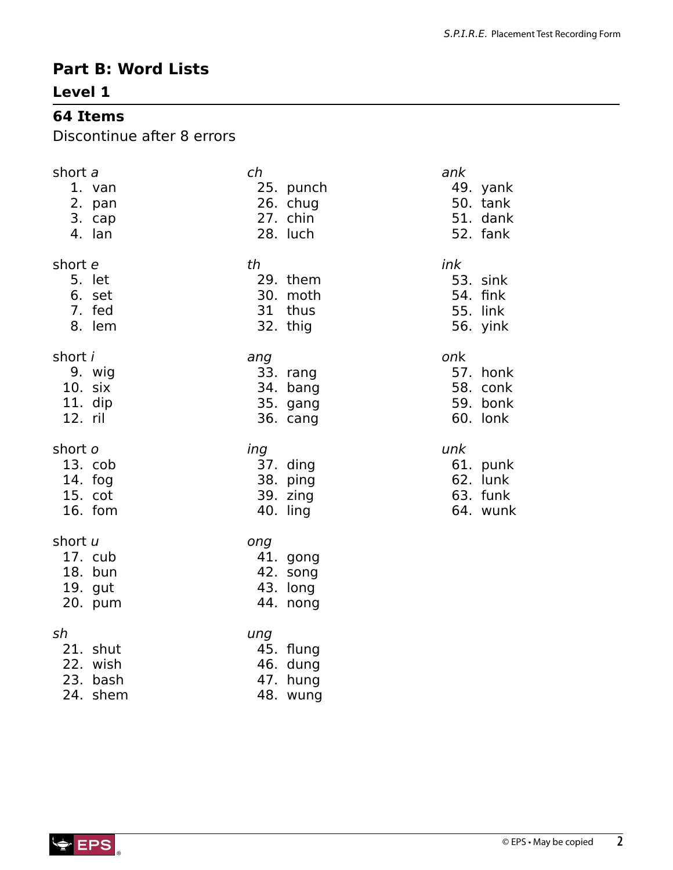# **Part B: Word Lists**

### **Level 1**

## **64 Items**

Discontinue after 8 errors

| short a                                             | ch                                                   | ank      |
|-----------------------------------------------------|------------------------------------------------------|----------|
| 1. van                                              | 25. punch                                            | 49. yank |
| 2. pan                                              | 26. chug                                             | 50. tank |
| 3. cap                                              | 27. chin                                             | 51. dank |
| 4. lan                                              | 28. luch                                             | 52. fank |
| short e                                             | th                                                   | ink      |
| 5. let                                              | 29. them                                             | 53. sink |
| 6. set                                              | 30. moth                                             | 54. fink |
| 7. fed                                              | 31 thus                                              | 55. link |
| 8. lem                                              | 32. thig                                             | 56. yink |
| short <i>i</i>                                      | ang                                                  | onk      |
| 9. wig                                              | 33. rang                                             | 57. honk |
| 10. six                                             | 34. bang                                             | 58. conk |
| 11. dip                                             | 35. gang                                             | 59. bonk |
| 12. ril                                             | 36. cang                                             | 60. lonk |
| short o                                             | ing                                                  | unk      |
| 13. cob                                             | 37. ding                                             | 61. punk |
| $14.$ fog                                           | 38. ping                                             | 62. lunk |
| 15. cot                                             | 39. zing                                             | 63. funk |
| $16.$ fom                                           | 40. ling                                             | 64. wunk |
| short u<br>17. cub<br>18. bun<br>19. gut<br>20. pum | ong<br>41. gong<br>42. song<br>43. long<br>44. nong  |          |
| sh<br>21. shut<br>22. wish<br>23. bash<br>24. shem  | ung<br>45. flung<br>46. dung<br>47. hung<br>48. wung |          |

®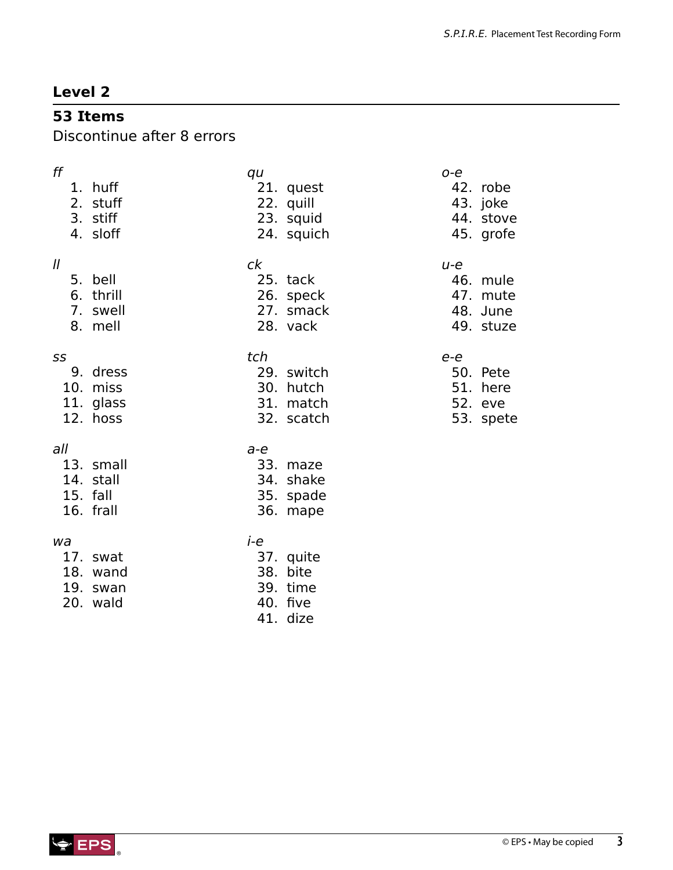## **53 Items**

Discontinue after 8 errors

| ff            | 1. huff<br>2. stuff<br>3. stiff<br>4. sloff     | qu    | 21. quest<br>22. quill<br>23. squid<br>24. squich  | $O - e$ | 42. robe<br>43. joke<br>44. stove<br>45. grofe |
|---------------|-------------------------------------------------|-------|----------------------------------------------------|---------|------------------------------------------------|
| $\mathcal{U}$ | 5. bell<br>6. thrill<br>7. swell<br>8. mell     | ck    | 25. tack<br>26. speck<br>27. smack<br>28. vack     | $u-e$   | 46. mule<br>47. mute<br>48. June<br>49. stuze  |
| SS            | 9. dress<br>10. miss<br>11. glass<br>12. hoss   | tch   | 29. switch<br>30. hutch<br>31. match<br>32. scatch | e-e     | 50. Pete<br>51. here<br>52. eve<br>53. spete   |
| all           | 13. small<br>14. stall<br>15. fall<br>16. frall | $a-e$ | 33. maze<br>34. shake<br>35. spade<br>36. mape     |         |                                                |
| wa            | 17. swat<br>18. wand<br>19. swan<br>20. wald    | i-e   | 37. quite<br>38. bite<br>39. time<br>40. five      |         |                                                |

41. dize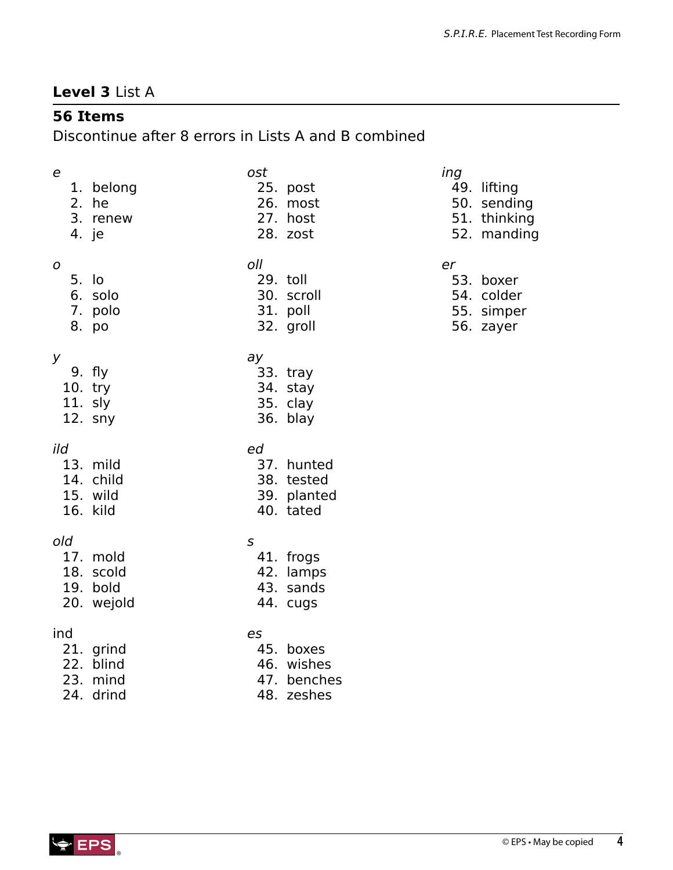## **Level 3** List A

# **56 Items**

Discontinue after 8 errors in Lists A and B combined

| e<br>1. belong<br>2. he<br>3. renew<br>4. je           | ost<br>25. post<br>26. most<br>27. host<br>28. zost            | ing<br>49. lifting<br>50. sending<br>51. thinking<br>52. manding |
|--------------------------------------------------------|----------------------------------------------------------------|------------------------------------------------------------------|
| O<br>5. lo<br>6. solo<br>7. polo<br>8. po              | oll<br>29. toll<br>30. scroll<br>31. poll<br>32. groll         | er<br>53. boxer<br>54. colder<br>55. simper<br>56. zayer         |
| У<br>9. fly<br>$10.$ try<br>11. sly<br>12. sny         | ay<br>33. tray<br>34. stay<br>35. clay<br>36. blay             |                                                                  |
| ild<br>13. mild<br>14. child<br>15. wild<br>16. kild   | ed<br>37. hunted<br>38. tested<br>39. planted<br>40. tated     |                                                                  |
| old<br>17. mold<br>18. scold<br>19. bold<br>20. wejold | $\mathsf S$<br>41. frogs<br>42. lamps<br>43. sands<br>44. cugs |                                                                  |
| ind<br>21. grind<br>22. blind<br>23. mind<br>24. drind | es<br>45. boxes<br>46. wishes<br>47. benches<br>48. zeshes     |                                                                  |

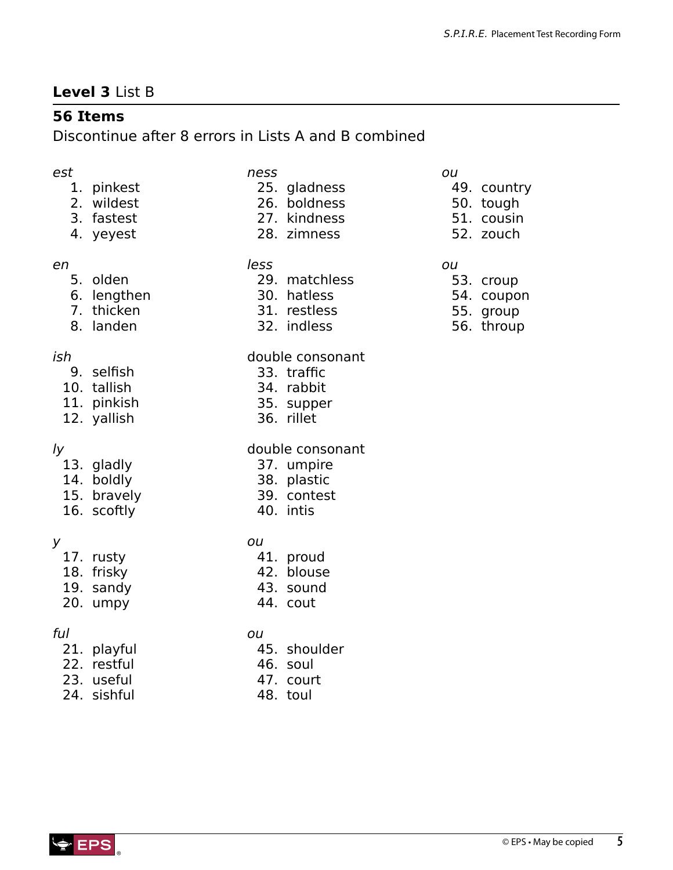# **Level 3** List B

# **56 Items**

Discontinue after 8 errors in Lists A and B combined

### *est*

- 1. pinkest
- 2. wildest
- 3. fastest
- 4. yeyest

#### *en*

- 5. olden
- 6. lengthen
- 7. thicken
- 8. landen

### *ish*

- 9. selfish
- 10. tallish
- 11. pinkish
- 12. yallish

### *ly*

- 13. gladly
- 14. boldly
- 15. bravely
- 16. scoftly

### *y*

- 17. rusty
- 18. frisky
- 19. sandy
- 20. umpy

### *ful*

- 21. playful
- 22. restful
- 23. useful
- 24. sishful

| ness |              |
|------|--------------|
|      | 25. gladness |
|      | 26. boldness |

- 27. kindness
- 28. zimness
- 

### *less*

- 29. matchless
- 30. hatless
- 31. restless
- 32. indless

#### double consonant

- 33. traffic
- 34. rabbit
- 35. supper
- 36. rillet

#### double consonant

- 37. umpire
- 38. plastic
- 39. contest
- 40. intis

### *ou*

- 41. proud
- 42. blouse
- 43. sound
- 44. cout

### *ou*

- 45. shoulder
- 46. soul
- 47. court
- 48. toul

## *ou*

- 49. country
- 50. tough
- 51. cousin
- 52. zouch

#### *ou*

- 53. croup
- 54. coupon
- 55. group
- 56. throup

®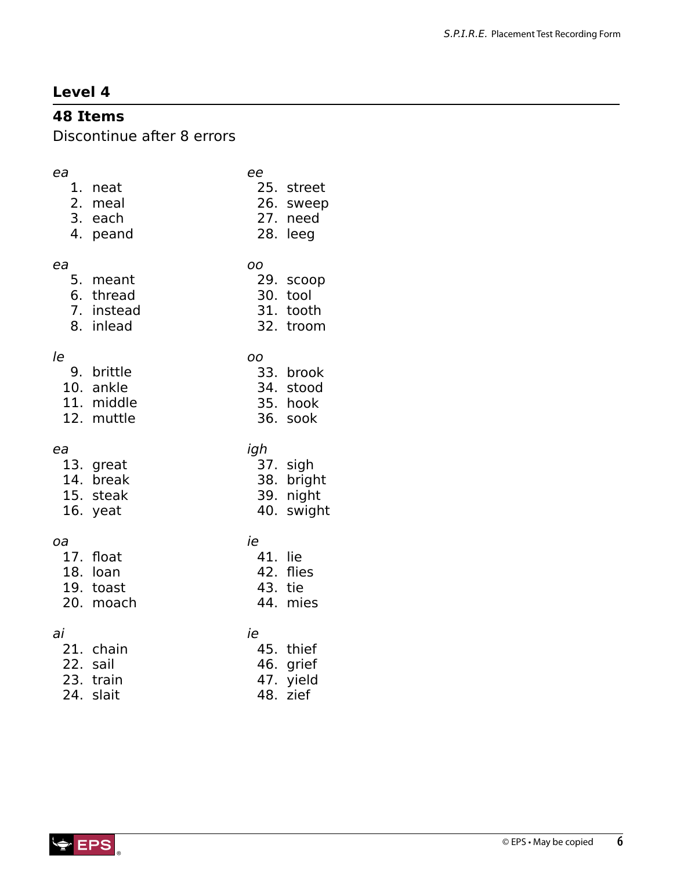# **48 Items**

Discontinue after 8 errors

| ea<br>4. | 1. neat<br>2. meal<br>3. each<br>peand           | ee                      | 25. street<br>26. sweep<br>27. need<br>28. leeg   |
|----------|--------------------------------------------------|-------------------------|---------------------------------------------------|
| ea       | 5. meant<br>6. thread<br>7. instead<br>8. inlead | OO<br>30.<br>31.<br>32. | 29. scoop<br>tool<br>tooth<br>troom               |
| le<br>9. | brittle<br>10. ankle<br>11. middle<br>12. muttle | OO                      | 33. brook<br>34. stood<br>35. hook<br>36. sook    |
| ea       | 13. great<br>14. break<br>15. steak<br>16. yeat  | igh                     | 37. sigh<br>38. bright<br>39. night<br>40. swight |
| оа       | 17. float<br>18. loan<br>19. toast               | ie<br>41. lie<br>43.    | 42. flies<br>tie                                  |
|          | 20. moach                                        |                         | 44. mies                                          |

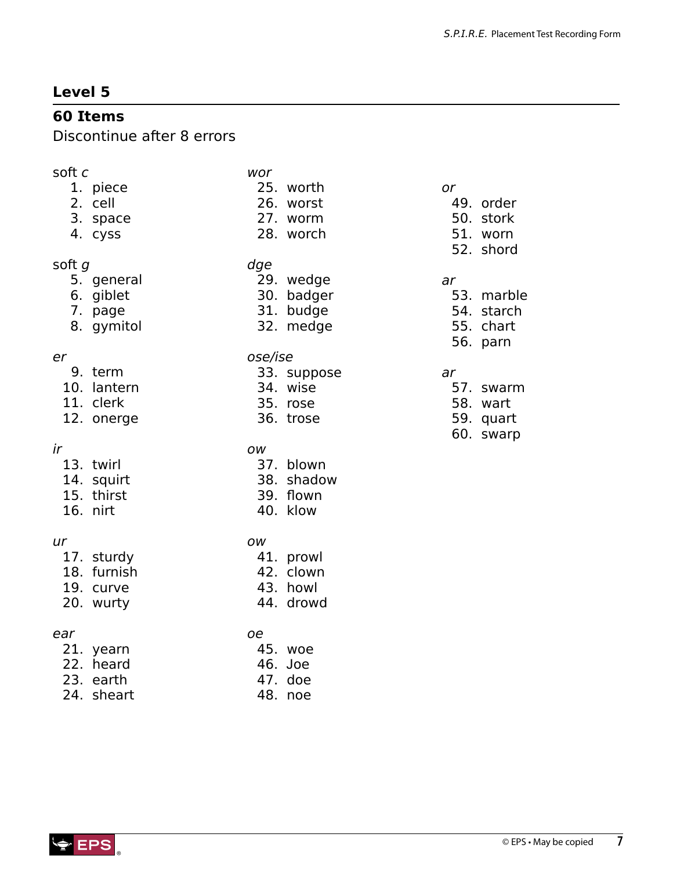# **60 Items**

Discontinue after 8 errors

| soft c      | wor         |
|-------------|-------------|
| 1. piece    | 25. worth   |
| 2. cell     | 26. worst   |
| 3. space    | 27. worm    |
| 4. cyss     | 28. worch   |
| soft g      | dge         |
| 5. general  | 29. wedge   |
| 6. giblet   | 30. badger  |
| 7. page     | 31. budge   |
| 8. gymitol  | 32. medge   |
| er          | ose/ise     |
| 9. term     | 33. suppose |
| 10. lantern | 34. wise    |
| 11. clerk   | 35. rose    |
| 12. onerge  | 36. trose   |
|             |             |
| ir          | OW          |
| 13. twirl   | 37. blown   |
| 14. squirt  | 38. shadow  |
| 15. thirst  | 39. flown   |
| 16. nirt    | 40. klow    |
| ur          | <b>OW</b>   |
| 17. sturdy  | 41. prowl   |
| 18. furnish | 42. clown   |
| 19. curve   | 43. howl    |
| 20. wurty   | 44. drowd   |

*or* 49. order 50. stork 51. worn 52. shord

#### *ar*

- 53. marble
- 54. starch
- 55. chart
- 56. parn

### *ar*

- 57. swarm
- 58. wart
- 59. quart 60. swarp